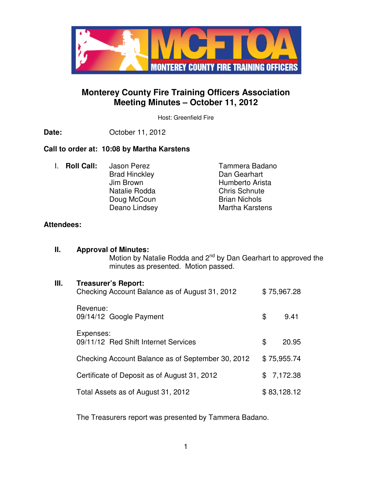

# **Monterey County Fire Training Officers Association Meeting Minutes – October 11, 2012**

Host: Greenfield Fire

**Date:** October 11, 2012

# **Call to order at: 10:08 by Martha Karstens**

I. **Roll Call:** Jason Perez **Tammera Badano**<br>Brad Hincklev **Tammera Badano Brad Hinckley** Jim Brown<br>
Natalie Rodda<br>
Natalie Rodda<br>
Chris Schnute Natalie Rodda<br>
Doug McCoun<br>
Chris Schnute Brian Nichols Doug McCoun Deano Lindsey Martha Karstens

# **Attendees:**

| Ш. | <b>Approval of Minutes:</b><br>Motion by Natalie Rodda and 2 <sup>nd</sup> by Dan Gearhart to approved the<br>minutes as presented. Motion passed. |             |             |  |
|----|----------------------------------------------------------------------------------------------------------------------------------------------------|-------------|-------------|--|
| Ш. | <b>Treasurer's Report:</b><br>Checking Account Balance as of August 31, 2012                                                                       | \$75,967.28 |             |  |
|    | Revenue:<br>09/14/12 Google Payment                                                                                                                | \$          | 9.41        |  |
|    | Expenses:<br>09/11/12 Red Shift Internet Services                                                                                                  | \$          | 20.95       |  |
|    | Checking Account Balance as of September 30, 2012                                                                                                  | \$75,955.74 |             |  |
|    | Certificate of Deposit as of August 31, 2012                                                                                                       | \$          | 7,172.38    |  |
|    | Total Assets as of August 31, 2012                                                                                                                 |             | \$83,128.12 |  |

The Treasurers report was presented by Tammera Badano.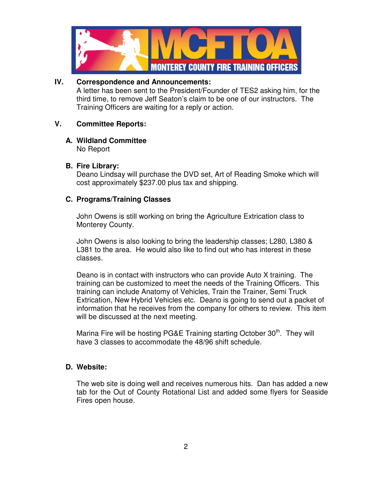

#### **IV. Correspondence and Announcements:**

A letter has been sent to the President/Founder of TES2 asking him, for the third time, to remove Jeff Seaton's claim to be one of our instructors. The Training Officers are waiting for a reply or action.

#### **V. Committee Reports:**

# **A. Wildland Committee**

No Report

#### **B. Fire Library:**

Deano Lindsay will purchase the DVD set, Art of Reading Smoke which will cost approximately \$237.00 plus tax and shipping.

#### **C. Programs/Training Classes**

John Owens is still working on bring the Agriculture Extrication class to Monterey County.

John Owens is also looking to bring the leadership classes; L280, L380 & L381 to the area. He would also like to find out who has interest in these classes.

Deano is in contact with instructors who can provide Auto X training. The training can be customized to meet the needs of the Training Officers. This training can include Anatomy of Vehicles, Train the Trainer, Semi Truck Extrication, New Hybrid Vehicles etc. Deano is going to send out a packet of information that he receives from the company for others to review. This item will be discussed at the next meeting.

Marina Fire will be hosting PG&E Training starting October 30<sup>th</sup>. They will have 3 classes to accommodate the 48/96 shift schedule.

# **D. Website:**

The web site is doing well and receives numerous hits. Dan has added a new tab for the Out of County Rotational List and added some flyers for Seaside Fires open house.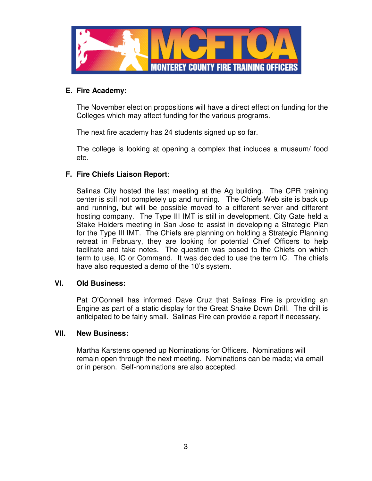

### **E. Fire Academy:**

The November election propositions will have a direct effect on funding for the Colleges which may affect funding for the various programs.

The next fire academy has 24 students signed up so far.

The college is looking at opening a complex that includes a museum/ food etc.

# **F. Fire Chiefs Liaison Report**:

Salinas City hosted the last meeting at the Ag building. The CPR training center is still not completely up and running. The Chiefs Web site is back up and running, but will be possible moved to a different server and different hosting company. The Type III IMT is still in development, City Gate held a Stake Holders meeting in San Jose to assist in developing a Strategic Plan for the Type III IMT. The Chiefs are planning on holding a Strategic Planning retreat in February, they are looking for potential Chief Officers to help facilitate and take notes. The question was posed to the Chiefs on which term to use, IC or Command. It was decided to use the term IC. The chiefs have also requested a demo of the 10's system.

# **VI. Old Business:**

Pat O'Connell has informed Dave Cruz that Salinas Fire is providing an Engine as part of a static display for the Great Shake Down Drill. The drill is anticipated to be fairly small. Salinas Fire can provide a report if necessary.

#### **VII. New Business:**

Martha Karstens opened up Nominations for Officers. Nominations will remain open through the next meeting. Nominations can be made; via email or in person. Self-nominations are also accepted.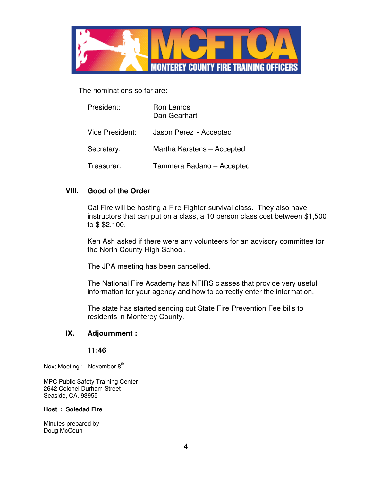

The nominations so far are:

| President:      | Ron Lemos<br>Dan Gearhart  |
|-----------------|----------------------------|
| Vice President: | Jason Perez - Accepted     |
| Secretary:      | Martha Karstens - Accepted |
| Treasurer:      | Tammera Badano - Accepted  |

#### **VIII. Good of the Order**

Cal Fire will be hosting a Fire Fighter survival class. They also have instructors that can put on a class, a 10 person class cost between \$1,500 to \$ \$2,100.

Ken Ash asked if there were any volunteers for an advisory committee for the North County High School.

The JPA meeting has been cancelled.

The National Fire Academy has NFIRS classes that provide very useful information for your agency and how to correctly enter the information.

The state has started sending out State Fire Prevention Fee bills to residents in Monterey County.

#### **IX. Adjournment :**

#### **11:46**

Next Meeting : November  $8<sup>th</sup>$ .

MPC Public Safety Training Center 2642 Colonel Durham Street Seaside, CA. 93955

#### **Host : Soledad Fire**

Minutes prepared by Doug McCoun